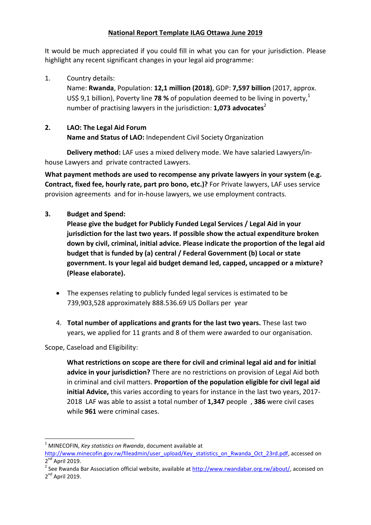#### **National Report Template ILAG Ottawa June 2019**

It would be much appreciated if you could fill in what you can for your jurisdiction. Please highlight any recent significant changes in your legal aid programme:

1. Country details:

Name: **Rwanda**, Population: **12,1 million (2018)**, GDP: **7,597 billion** (2017, approx. US\$ 9,1 billion), Poverty line **78** % of population deemed to be living in poverty,<sup>1</sup> number of practising lawyers in the jurisdiction: **1,073 advocates**<sup>2</sup>

## **2. LAO: The Legal Aid Forum**

**Name and Status of LAO:** Independent Civil Society Organization

 **Delivery method:** LAF uses a mixed delivery mode. We have salaried Lawyers/inhouse Lawyers and private contracted Lawyers.

**What payment methods are used to recompense any private lawyers in your system (e.g. Contract, fixed fee, hourly rate, part pro bono, etc.)?** For Private lawyers, LAF uses service provision agreements and for in-house lawyers, we use employment contracts.

## **3. Budget and Spend:**

**Please give the budget for Publicly Funded Legal Services / Legal Aid in your jurisdiction for the last two years. If possible show the actual expenditure broken down by civil, criminal, initial advice. Please indicate the proportion of the legal aid budget that is funded by (a) central / Federal Government (b) Local or state government. Is your legal aid budget demand led, capped, uncapped or a mixture? (Please elaborate).**

- The expenses relating to publicly funded legal services is estimated to be 739,903,528 approximately 888.536.69 US Dollars per year
- 4. **Total number of applications and grants for the last two years.** These last two years, we applied for 11 grants and 8 of them were awarded to our organisation.

Scope, Caseload and Eligibility:

**What restrictions on scope are there for civil and criminal legal aid and for initial advice in your jurisdiction?** There are no restrictions on provision of Legal Aid both in criminal and civil matters. **Proportion of the population eligible for civil legal aid initial Advice,** this varies according to years for instance in the last two years, 2017- 2018 LAF was able to assist a total number of **1,347** people , **386** were civil cases while **961** were criminal cases.

 $\overline{a}$ <sup>1</sup> MINECOFIN, *Key statistics on Rwanda*, document available at

[http://www.minecofin.gov.rw/fileadmin/user\\_upload/Key\\_statistics\\_on\\_Rwanda\\_Oct\\_23rd.pdf,](http://www.minecofin.gov.rw/fileadmin/user_upload/Key_statistics_on_Rwanda_Oct_23rd.pdf) accessed on 2<sup>nd</sup> April 2019.

<sup>&</sup>lt;sup>2</sup> See Rwanda Bar Association official website, available at [http://www.rwandabar.org.rw/about/,](http://www.rwandabar.org.rw/about/) accessed on 2<sup>nd</sup> April 2019.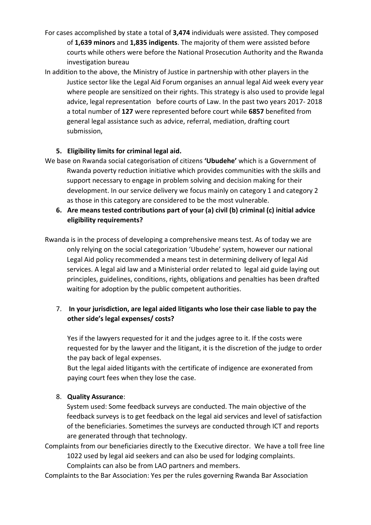- For cases accomplished by state a total of **3,474** individuals were assisted. They composed of **1,639 minors** and **1,835 indigents**. The majority of them were assisted before courts while others were before the National Prosecution Authority and the Rwanda investigation bureau
- In addition to the above, the Ministry of Justice in partnership with other players in the Justice sector like the Legal Aid Forum organises an annual legal Aid week every year where people are sensitized on their rights. This strategy is also used to provide legal advice, legal representation before courts of Law. In the past two years 2017- 2018 a total number of **127** were represented before court while **6857** benefited from general legal assistance such as advice, referral, mediation, drafting court submission,

#### **5. Eligibility limits for criminal legal aid.**

- We base on Rwanda social categorisation of citizens **'Ubudehe'** which is a Government of Rwanda poverty reduction initiative which provides communities with the skills and support necessary to engage in problem solving and decision making for their development. In our service delivery we focus mainly on category 1 and category 2 as those in this category are considered to be the most vulnerable.
	- **6. Are means tested contributions part of your (a) civil (b) criminal (c) initial advice eligibility requirements?**

Rwanda is in the process of developing a comprehensive means test. As of today we are only relying on the social categorization 'Ubudehe' system, however our national Legal Aid policy recommended a means test in determining delivery of legal Aid services. A legal aid law and a Ministerial order related to legal aid guide laying out principles, guidelines, conditions, rights, obligations and penalties has been drafted waiting for adoption by the public competent authorities.

# 7. **In your jurisdiction, are legal aided litigants who lose their case liable to pay the other side's legal expenses/ costs?**

Yes if the lawyers requested for it and the judges agree to it. If the costs were requested for by the lawyer and the litigant, it is the discretion of the judge to order the pay back of legal expenses.

But the legal aided litigants with the certificate of indigence are exonerated from paying court fees when they lose the case.

#### 8. **Quality Assurance**:

System used: Some feedback surveys are conducted. The main objective of the feedback surveys is to get feedback on the legal aid services and level of satisfaction of the beneficiaries. Sometimes the surveys are conducted through ICT and reports are generated through that technology.

Complaints from our beneficiaries directly to the Executive director. We have a toll free line 1022 used by legal aid seekers and can also be used for lodging complaints.

Complaints can also be from LAO partners and members.

Complaints to the Bar Association: Yes per the rules governing Rwanda Bar Association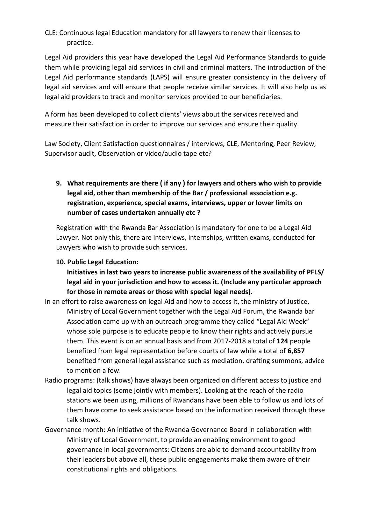## CLE: Continuous legal Education mandatory for all lawyers to renew their licenses to practice.

Legal Aid providers this year have developed the Legal Aid Performance Standards to guide them while providing legal aid services in civil and criminal matters. The introduction of the Legal Aid performance standards (LAPS) will ensure greater consistency in the delivery of legal aid services and will ensure that people receive similar services. It will also help us as legal aid providers to track and monitor services provided to our beneficiaries.

A form has been developed to collect clients' views about the services received and measure their satisfaction in order to improve our services and ensure their quality.

Law Society, Client Satisfaction questionnaires / interviews, CLE, Mentoring, Peer Review, Supervisor audit, Observation or video/audio tape etc?

# **9. What requirements are there ( if any ) for lawyers and others who wish to provide legal aid, other than membership of the Bar / professional association e.g. registration, experience, special exams, interviews, upper or lower limits on number of cases undertaken annually etc ?**

Registration with the Rwanda Bar Association is mandatory for one to be a Legal Aid Lawyer. Not only this, there are interviews, internships, written exams, conducted for Lawyers who wish to provide such services.

## **10. Public Legal Education:**

**Initiatives in last two years to increase public awareness of the availability of PFLS/ legal aid in your jurisdiction and how to access it. (Include any particular approach for those in remote areas or those with special legal needs).** 

- In an effort to raise awareness on legal Aid and how to access it, the ministry of Justice, Ministry of Local Government together with the Legal Aid Forum, the Rwanda bar Association came up with an outreach programme they called "Legal Aid Week" whose sole purpose is to educate people to know their rights and actively pursue them. This event is on an annual basis and from 2017-2018 a total of **124** people benefited from legal representation before courts of law while a total of **6,857** benefited from general legal assistance such as mediation, drafting summons, advice to mention a few.
- Radio programs: (talk shows) have always been organized on different access to justice and legal aid topics (some jointly with members). Looking at the reach of the radio stations we been using, millions of Rwandans have been able to follow us and lots of them have come to seek assistance based on the information received through these talk shows.
- Governance month: An initiative of the Rwanda Governance Board in collaboration with Ministry of Local Government, to provide an enabling environment to good governance in local governments: Citizens are able to demand accountability from their leaders but above all, these public engagements make them aware of their constitutional rights and obligations.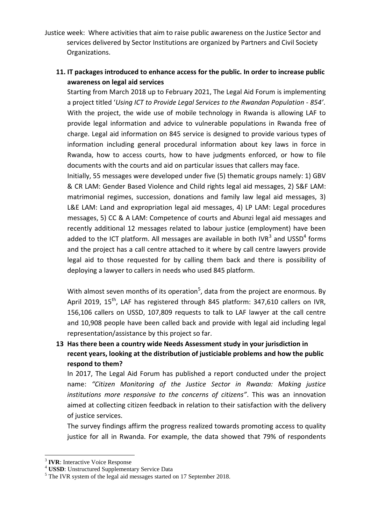Justice week: Where activities that aim to raise public awareness on the Justice Sector and services delivered by Sector Institutions are organized by Partners and Civil Society Organizations.

# **11. IT packages introduced to enhance access for the public. In order to increase public awareness on legal aid services**

Starting from March 2018 up to February 2021, The Legal Aid Forum is implementing a project titled '*Using ICT to Provide Legal Services to the Rwandan Population - 854'*. With the project, the wide use of mobile technology in Rwanda is allowing LAF to provide legal information and advice to vulnerable populations in Rwanda free of charge. Legal aid information on 845 service is designed to provide various types of information including general procedural information about key laws in force in Rwanda, how to access courts, how to have judgments enforced, or how to file documents with the courts and aid on particular issues that callers may face.

Initially, 55 messages were developed under five (5) thematic groups namely: 1) GBV & CR LAM: Gender Based Violence and Child rights legal aid messages, 2) S&F LAM: matrimonial regimes, succession, donations and family law legal aid messages, 3) L&E LAM: Land and expropriation legal aid messages, 4) LP LAM: Legal procedures messages, 5) CC & A LAM: Competence of courts and Abunzi legal aid messages and recently additional 12 messages related to labour justice (employment) have been added to the ICT platform. All messages are available in both IVR<sup>3</sup> and USSD<sup>4</sup> forms and the project has a call centre attached to it where by call centre lawyers provide legal aid to those requested for by calling them back and there is possibility of deploying a lawyer to callers in needs who used 845 platform.

With almost seven months of its operation<sup>5</sup>, data from the project are enormous. By April 2019,  $15^{th}$ , LAF has registered through 845 platform: 347,610 callers on IVR, 156,106 callers on USSD, 107,809 requests to talk to LAF lawyer at the call centre and 10,908 people have been called back and provide with legal aid including legal representation/assistance by this project so far.

**13 Has there been a country wide Needs Assessment study in your jurisdiction in recent years, looking at the distribution of justiciable problems and how the public respond to them?**

In 2017, The Legal Aid Forum has published a report conducted under the project name: *"Citizen Monitoring of the Justice Sector in Rwanda: Making justice institutions more responsive to the concerns of citizens"*. This was an innovation aimed at collecting citizen feedback in relation to their satisfaction with the delivery of justice services.

The survey findings affirm the progress realized towards promoting access to quality justice for all in Rwanda. For example, the data showed that 79% of respondents

<sup>1</sup> 3 **IVR**: Interactive Voice Response

<sup>4</sup> **USSD**: Unstructured Supplementary Service Data

<sup>&</sup>lt;sup>5</sup> The IVR system of the legal aid messages started on 17 September 2018.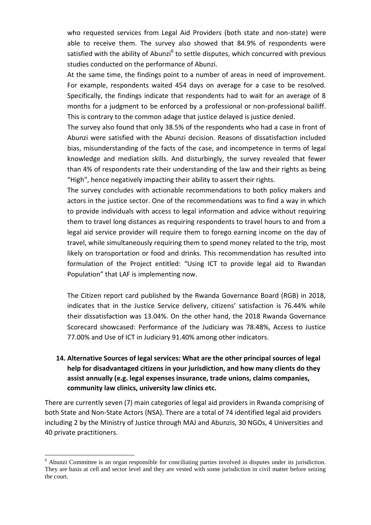who requested services from Legal Aid Providers (both state and non-state) were able to receive them. The survey also showed that 84.9% of respondents were satisfied with the ability of Abunzi<sup>6</sup> to settle disputes, which concurred with previous studies conducted on the performance of Abunzi.

At the same time, the findings point to a number of areas in need of improvement. For example, respondents waited 454 days on average for a case to be resolved. Specifically, the findings indicate that respondents had to wait for an average of 8 months for a judgment to be enforced by a professional or non-professional bailiff. This is contrary to the common adage that justice delayed is justice denied.

The survey also found that only 38.5% of the respondents who had a case in front of Abunzi were satisfied with the Abunzi decision. Reasons of dissatisfaction included bias, misunderstanding of the facts of the case, and incompetence in terms of legal knowledge and mediation skills. And disturbingly, the survey revealed that fewer than 4% of respondents rate their understanding of the law and their rights as being "High", hence negatively impacting their ability to assert their rights.

The survey concludes with actionable recommendations to both policy makers and actors in the justice sector. One of the recommendations was to find a way in which to provide individuals with access to legal information and advice without requiring them to travel long distances as requiring respondents to travel hours to and from a legal aid service provider will require them to forego earning income on the day of travel, while simultaneously requiring them to spend money related to the trip, most likely on transportation or food and drinks. This recommendation has resulted into formulation of the Project entitled: "Using ICT to provide legal aid to Rwandan Population" that LAF is implementing now.

The Citizen report card published by the Rwanda Governance Board (RGB) in 2018, indicates that in the Justice Service delivery, citizens' satisfaction is 76.44% while their dissatisfaction was 13.04%. On the other hand, the 2018 Rwanda Governance Scorecard showcased: Performance of the Judiciary was 78.48%, Access to Justice 77.00% and Use of ICT in Judiciary 91.40% among other indicators.

# **14. Alternative Sources of legal services: What are the other principal sources of legal help for disadvantaged citizens in your jurisdiction, and how many clients do they assist annually (e.g. legal expenses insurance, trade unions, claims companies, community law clinics, university law clinics etc.**

There are currently seven (7) main categories of legal aid providers in Rwanda comprising of both State and Non-State Actors (NSA). There are a total of 74 identified legal aid providers including 2 by the Ministry of Justice through MAJ and Abunzis, 30 NGOs, 4 Universities and 40 private practitioners.

1

<sup>&</sup>lt;sup>6</sup> Abunzi Committee is an organ responsible for conciliating parties involved in disputes under its jurisdiction. They are basis at cell and sector level and they are vested with some jurisdiction in civil matter before seizing the court.